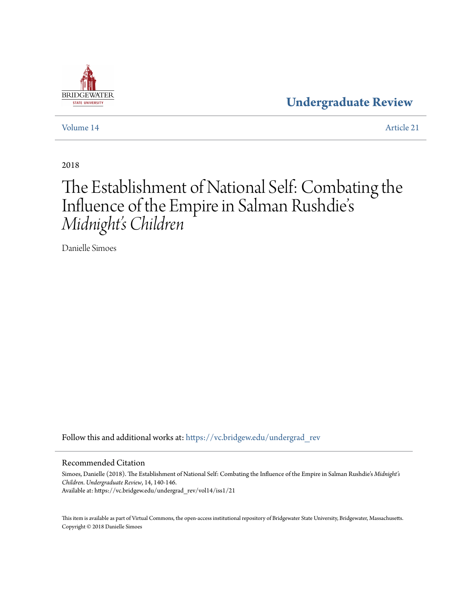### **[Undergraduate Review](https://vc.bridgew.edu/undergrad_rev?utm_source=vc.bridgew.edu%2Fundergrad_rev%2Fvol14%2Fiss1%2F21&utm_medium=PDF&utm_campaign=PDFCoverPages)**

[Volume 14](https://vc.bridgew.edu/undergrad_rev/vol14?utm_source=vc.bridgew.edu%2Fundergrad_rev%2Fvol14%2Fiss1%2F21&utm_medium=PDF&utm_campaign=PDFCoverPages) [Article 21](https://vc.bridgew.edu/undergrad_rev/vol14/iss1/21?utm_source=vc.bridgew.edu%2Fundergrad_rev%2Fvol14%2Fiss1%2F21&utm_medium=PDF&utm_campaign=PDFCoverPages)

2018

## The Establishment of National Self: Combating the Influence of the Empire in Salman Rushdie' s *Midnight's Children*

Danielle Simoes

Follow this and additional works at: [https://vc.bridgew.edu/undergrad\\_rev](https://vc.bridgew.edu/undergrad_rev?utm_source=vc.bridgew.edu%2Fundergrad_rev%2Fvol14%2Fiss1%2F21&utm_medium=PDF&utm_campaign=PDFCoverPages)

### Recommended Citation

Simoes, Danielle (2018). The Establishment of National Self: Combating the Influence of the Empire in Salman Rushdie's *Midnight's Children*. *Undergraduate Review*, 14, 140-146. Available at: https://vc.bridgew.edu/undergrad\_rev/vol14/iss1/21

This item is available as part of Virtual Commons, the open-access institutional repository of Bridgewater State University, Bridgewater, Massachusetts. Copyright © 2018 Danielle Simoes

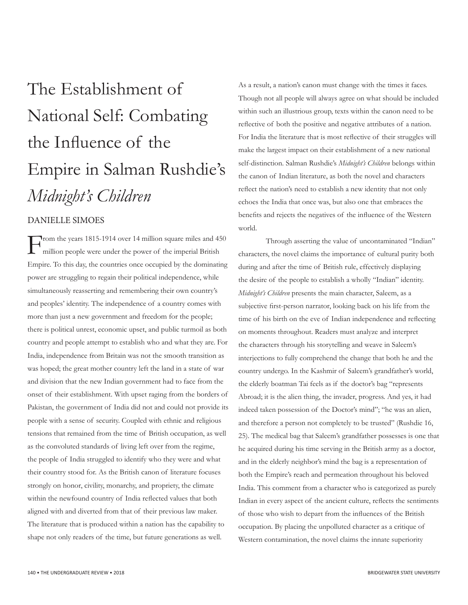# The Establishment of National Self: Combating the Influence of the Empire in Salman Rushdie's *Midnight's Children*

### DANIELLE SIMOES

From the years 1815-1914 over 14 million square miles and 450 million people were under the power of the imperial British Empire. To this day, the countries once occupied by the dominating power are struggling to regain their political independence, while simultaneously reasserting and remembering their own country's and peoples' identity. The independence of a country comes with more than just a new government and freedom for the people; there is political unrest, economic upset, and public turmoil as both country and people attempt to establish who and what they are. For India, independence from Britain was not the smooth transition as was hoped; the great mother country left the land in a state of war and division that the new Indian government had to face from the onset of their establishment. With upset raging from the borders of Pakistan, the government of India did not and could not provide its people with a sense of security. Coupled with ethnic and religious tensions that remained from the time of British occupation, as well as the convoluted standards of living left over from the regime, the people of India struggled to identify who they were and what their country stood for. As the British canon of literature focuses strongly on honor, civility, monarchy, and propriety, the climate within the newfound country of India reflected values that both aligned with and diverted from that of their previous law maker. The literature that is produced within a nation has the capability to shape not only readers of the time, but future generations as well.

As a result, a nation's canon must change with the times it faces. Though not all people will always agree on what should be included within such an illustrious group, texts within the canon need to be reflective of both the positive and negative attributes of a nation. For India the literature that is most reflective of their struggles will make the largest impact on their establishment of a new national self-distinction. Salman Rushdie's *Midnight's Children* belongs within the canon of Indian literature, as both the novel and characters reflect the nation's need to establish a new identity that not only echoes the India that once was, but also one that embraces the benefits and rejects the negatives of the influence of the Western world.

Through asserting the value of uncontaminated "Indian" characters, the novel claims the importance of cultural purity both during and after the time of British rule, effectively displaying the desire of the people to establish a wholly "Indian" identity. *Midnight's Children* presents the main character, Saleem, as a subjective first-person narrator, looking back on his life from the time of his birth on the eve of Indian independence and reflecting on moments throughout. Readers must analyze and interpret the characters through his storytelling and weave in Saleem's interjections to fully comprehend the change that both he and the country undergo. In the Kashmir of Saleem's grandfather's world, the elderly boatman Tai feels as if the doctor's bag "represents Abroad; it is the alien thing, the invader, progress. And yes, it had indeed taken possession of the Doctor's mind"; "he was an alien, and therefore a person not completely to be trusted" (Rushdie 16, 25). The medical bag that Saleem's grandfather possesses is one that he acquired during his time serving in the British army as a doctor, and in the elderly neighbor's mind the bag is a representation of both the Empire's reach and permeation throughout his beloved India. This comment from a character who is categorized as purely Indian in every aspect of the ancient culture, reflects the sentiments of those who wish to depart from the influences of the British occupation. By placing the unpolluted character as a critique of Western contamination, the novel claims the innate superiority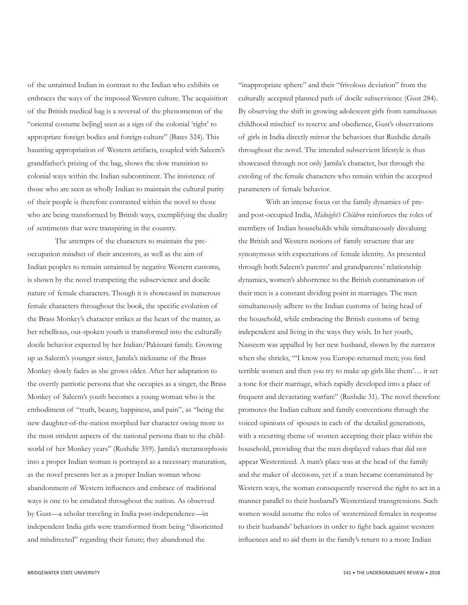of the untainted Indian in contrast to the Indian who exhibits or embraces the ways of the imposed Western culture. The acquisition of the British medical bag is a reversal of the phenomenon of the "oriental costume be[ing] seen as a sign of the colonial 'right' to appropriate foreign bodies and foreign culture" (Bates 324). This haunting appropriation of Western artifacts, coupled with Saleem's grandfather's prizing of the bag, shows the slow transition to colonial ways within the Indian subcontinent. The insistence of those who are seen as wholly Indian to maintain the cultural purity of their people is therefore contrasted within the novel to those who are being transformed by British ways, exemplifying the duality of sentiments that were transpiring in the country.

The attempts of the characters to maintain the preoccupation mindset of their ancestors, as well as the aim of Indian peoples to remain untainted by negative Western customs, is shown by the novel trumpeting the subservience and docile nature of female characters. Though it is showcased in numerous female characters throughout the book, the specific evolution of the Brass Monkey's character strikes at the heart of the matter, as her rebellious, out-spoken youth is transformed into the culturally docile behavior expected by her Indian/Pakistani family. Growing up as Saleem's younger sister, Jamila's nickname of the Brass Monkey slowly fades as she grows older. After her adaptation to the overtly patriotic persona that she occupies as a singer, the Brass Monkey of Saleem's youth becomes a young woman who is the embodiment of "truth, beauty, happiness, and pain", as "being the new daughter-of-the-nation morphed her character owing more to the most strident aspects of the national persona than to the childworld of her Monkey years" (Rushdie 359). Jamila's metamorphosis into a proper Indian woman is portrayed as a necessary maturation, as the novel presents her as a proper Indian woman whose abandonment of Western influences and embrace of traditional ways is one to be emulated throughout the nation. As observed by Gust—a scholar traveling in India post-independence—in independent India girls were transformed from being "disoriented and misdirected" regarding their future; they abandoned the

"inappropriate sphere" and their "frivolous deviation" from the culturally accepted planned path of docile subservience (Gust 284). By observing the shift in growing adolescent girls from tumultuous childhood mischief to reserve and obedience, Gust's observations of girls in India directly mirror the behaviors that Rushdie details throughout the novel. The intended subservient lifestyle is thus showcased through not only Jamila's character, but through the extoling of the female characters who remain within the accepted parameters of female behavior.

With an intense focus on the family dynamics of preand post-occupied India, *Midnight's Children* reinforces the roles of members of Indian households while simultaneously disvaluing the British and Western notions of family structure that are synonymous with expectations of female identity. As presented through both Saleem's parents' and grandparents' relationship dynamics, women's abhorrence to the British contamination of their men is a constant dividing point in marriages. The men simultaneously adhere to the Indian customs of being head of the household, while embracing the British customs of being independent and living in the ways they wish. In her youth, Nasseem was appalled by her new husband, shown by the narrator when she shrieks, "'I know you Europe-returned men; you find terrible women and then you try to make up girls like them'… it set a tone for their marriage, which rapidly developed into a place of frequent and devastating warfare" (Rushdie 31). The novel therefore promotes the Indian culture and family conventions through the voiced opinions of spouses in each of the detailed generations, with a recurring theme of women accepting their place within the household, providing that the men displayed values that did not appear Westernized. A man's place was at the head of the family and the maker of decisions, yet if a man became contaminated by Western ways, the woman consequently reserved the right to act in a manner parallel to their husband's Westernized transgressions. Such women would assume the roles of westernized females in response to their husbands' behaviors in order to fight back against western influences and to aid them in the family's return to a more Indian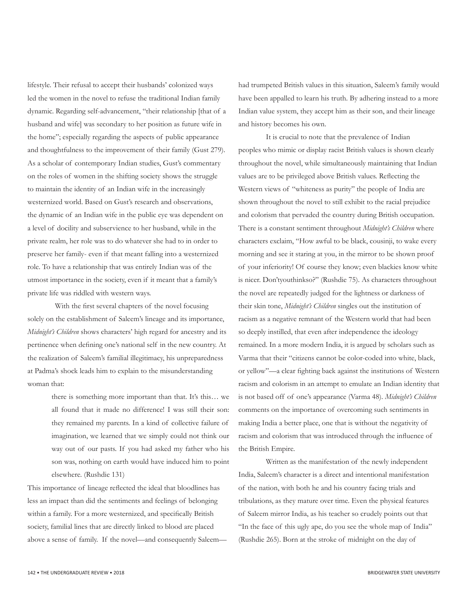lifestyle. Their refusal to accept their husbands' colonized ways led the women in the novel to refuse the traditional Indian family dynamic. Regarding self-advancement, "their relationship [that of a husband and wife] was secondary to her position as future wife in the home"; especially regarding the aspects of public appearance and thoughtfulness to the improvement of their family (Gust 279). As a scholar of contemporary Indian studies, Gust's commentary on the roles of women in the shifting society shows the struggle to maintain the identity of an Indian wife in the increasingly westernized world. Based on Gust's research and observations, the dynamic of an Indian wife in the public eye was dependent on a level of docility and subservience to her husband, while in the private realm, her role was to do whatever she had to in order to preserve her family- even if that meant falling into a westernized role. To have a relationship that was entirely Indian was of the utmost importance in the society, even if it meant that a family's private life was riddled with western ways.

With the first several chapters of the novel focusing solely on the establishment of Saleem's lineage and its importance, *Midnight's Children* shows characters' high regard for ancestry and its pertinence when defining one's national self in the new country. At the realization of Saleem's familial illegitimacy, his unpreparedness at Padma's shock leads him to explain to the misunderstanding woman that:

> there is something more important than that. It's this… we all found that it made no difference! I was still their son: they remained my parents. In a kind of collective failure of imagination, we learned that we simply could not think our way out of our pasts. If you had asked my father who his son was, nothing on earth would have induced him to point elsewhere. (Rushdie 131)

This importance of lineage reflected the ideal that bloodlines has less an impact than did the sentiments and feelings of belonging within a family. For a more westernized, and specifically British society, familial lines that are directly linked to blood are placed above a sense of family. If the novel—and consequently Saleemhad trumpeted British values in this situation, Saleem's family would have been appalled to learn his truth. By adhering instead to a more Indian value system, they accept him as their son, and their lineage and history becomes his own.

It is crucial to note that the prevalence of Indian peoples who mimic or display racist British values is shown clearly throughout the novel, while simultaneously maintaining that Indian values are to be privileged above British values. Reflecting the Western views of "whiteness as purity" the people of India are shown throughout the novel to still exhibit to the racial prejudice and colorism that pervaded the country during British occupation. There is a constant sentiment throughout *Midnight's Children* where characters exclaim, "How awful to be black, cousinji, to wake every morning and see it staring at you, in the mirror to be shown proof of your inferiority! Of course they know; even blackies know white is nicer. Don'tyouthinkso?" (Rushdie 75). As characters throughout the novel are repeatedly judged for the lightness or darkness of their skin tone, *Midnight's Children* singles out the institution of racism as a negative remnant of the Western world that had been so deeply instilled, that even after independence the ideology remained. In a more modern India, it is argued by scholars such as Varma that their "citizens cannot be color-coded into white, black, or yellow"—a clear fighting back against the institutions of Western racism and colorism in an attempt to emulate an Indian identity that is not based off of one's appearance (Varma 48). *Midnight's Children* comments on the importance of overcoming such sentiments in making India a better place, one that is without the negativity of racism and colorism that was introduced through the influence of the British Empire.

Written as the manifestation of the newly independent India, Saleem's character is a direct and intentional manifestation of the nation, with both he and his country facing trials and tribulations, as they mature over time. Even the physical features of Saleem mirror India, as his teacher so crudely points out that "In the face of this ugly ape, do you see the whole map of India" (Rushdie 265). Born at the stroke of midnight on the day of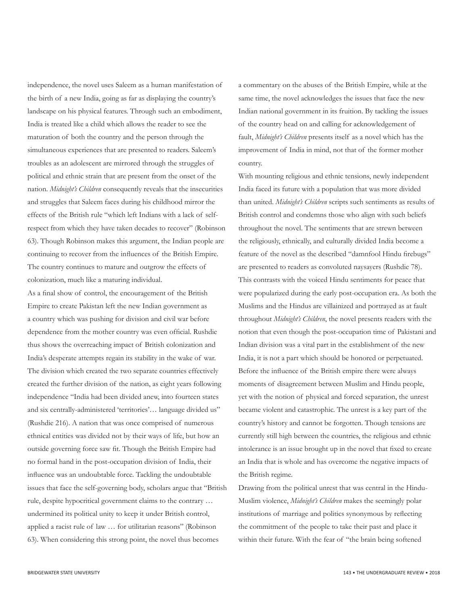independence, the novel uses Saleem as a human manifestation of the birth of a new India, going as far as displaying the country's landscape on his physical features. Through such an embodiment, India is treated like a child which allows the reader to see the maturation of both the country and the person through the simultaneous experiences that are presented to readers. Saleem's troubles as an adolescent are mirrored through the struggles of political and ethnic strain that are present from the onset of the nation. *Midnight's Children* consequently reveals that the insecurities and struggles that Saleem faces during his childhood mirror the effects of the British rule "which left Indians with a lack of selfrespect from which they have taken decades to recover" (Robinson 63). Though Robinson makes this argument, the Indian people are continuing to recover from the influences of the British Empire. The country continues to mature and outgrow the effects of colonization, much like a maturing individual.

As a final show of control, the encouragement of the British Empire to create Pakistan left the new Indian government as a country which was pushing for division and civil war before dependence from the mother country was even official. Rushdie thus shows the overreaching impact of British colonization and India's desperate attempts regain its stability in the wake of war. The division which created the two separate countries effectively created the further division of the nation, as eight years following independence "India had been divided anew, into fourteen states and six centrally-administered 'territories'… language divided us" (Rushdie 216). A nation that was once comprised of numerous ethnical entities was divided not by their ways of life, but how an outside governing force saw fit. Though the British Empire had no formal hand in the post-occupation division of India, their influence was an undoubtable force. Tackling the undoubtable issues that face the self-governing body, scholars argue that "British rule, despite hypocritical government claims to the contrary … undermined its political unity to keep it under British control, applied a racist rule of law … for utilitarian reasons" (Robinson 63). When considering this strong point, the novel thus becomes

a commentary on the abuses of the British Empire, while at the same time, the novel acknowledges the issues that face the new Indian national government in its fruition. By tackling the issues of the country head on and calling for acknowledgement of fault, *Midnight's Children* presents itself as a novel which has the improvement of India in mind, not that of the former mother country.

With mounting religious and ethnic tensions, newly independent India faced its future with a population that was more divided than united. *Midnight's Children* scripts such sentiments as results of British control and condemns those who align with such beliefs throughout the novel. The sentiments that are strewn between the religiously, ethnically, and culturally divided India become a feature of the novel as the described "damnfool Hindu firebugs" are presented to readers as convoluted naysayers (Rushdie 78). This contrasts with the voiced Hindu sentiments for peace that were popularized during the early post-occupation era. As both the Muslims and the Hindus are villainized and portrayed as at fault throughout *Midnight's Children*, the novel presents readers with the notion that even though the post-occupation time of Pakistani and Indian division was a vital part in the establishment of the new India, it is not a part which should be honored or perpetuated. Before the influence of the British empire there were always moments of disagreement between Muslim and Hindu people, yet with the notion of physical and forced separation, the unrest became violent and catastrophic. The unrest is a key part of the country's history and cannot be forgotten. Though tensions are currently still high between the countries, the religious and ethnic intolerance is an issue brought up in the novel that fixed to create an India that is whole and has overcome the negative impacts of the British regime.

Drawing from the political unrest that was central in the Hindu-Muslim violence, *Midnight's Children* makes the seemingly polar institutions of marriage and politics synonymous by reflecting the commitment of the people to take their past and place it within their future. With the fear of "the brain being softened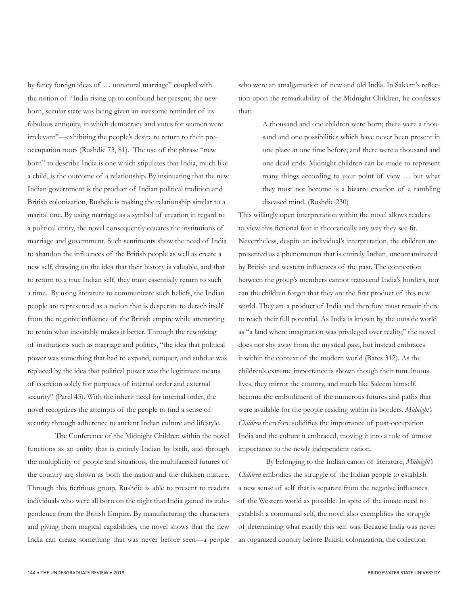by fancy foreign ideas of … unnatural marriage" coupled with the notion of "India rising up to confound her present; the newborn, secular state was being given an awesome reminder of its fabulous antiquity, in which democracy and votes for women were irrelevant"—exhibiting the people's desire to return to their preoccupation roots (Rushdie 73, 81). The use of the phrase "new born" to describe India is one which stipulates that India, much like a child, is the outcome of a relationship. By insinuating that the new Indian government is the product of Indian political tradition and British colonization, Rushdie is making the relationship similar to a marital one. By using marriage as a symbol of creation in regard to a political entity, the novel consequently equates the institutions of marriage and government. Such sentiments show the need of India to abandon the influences of the British people as well as create a new self, drawing on the idea that their history is valuable, and that to return to a true Indian self, they must essentially return to such a time. By using literature to communicate such beliefs, the Indian people are represented as a nation that is desperate to detach itself from the negative influence of the British empire while attempting to retain what inevitably makes it better. Through the reworking of institutions such as marriage and politics, "the idea that political power was something that had to expand, conquer, and subdue was replaced by the idea that political power was the legitimate means of coercion solely for purposes of internal order and external security" (Parel 43). With the inherit need for internal order, the novel recognizes the attempts of the people to find a sense of security through adherence to ancient Indian culture and lifestyle.

The Conference of the Midnight Children within the novel functions as an entity that is entirely Indian by birth, and through the multiplicity of people and situations, the multifaceted futures of the country are shown as both the nation and the children mature. Through this fictitious group, Rushdie is able to present to readers individuals who were all born on the night that India gained its independence from the British Empire. By manufacturing the characters and giving them magical capabilities, the novel shows that the new India can create something that was never before seen—a people who were an amalgamation of new and old India. In Saleem's reflection upon the remarkability of the Midnight Children, he confesses that:

> A thousand and one children were born; there were a thousand and one possibilities which have never been present in one place at one time before; and there were a thousand and one dead ends. Midnight children can be made to represent many things according to your point of view … but what they must not become is a bizarre creation of a rambling diseased mind. (Rushdie 230)

This willingly open interpretation within the novel allows readers to view this fictional feat in theoretically any way they see fit. Nevertheless, despite an individual's interpretation, the children are presented as a phenomenon that is entirely Indian, uncontaminated by British and western influences of the past. The connection between the group's members cannot transcend India's borders, nor can the children forget that they are the first product of this new world. They are a product of India and therefore must remain there to reach their full potential. As India is known by the outside world as "a land where imagination was privileged over reality," the novel does not shy away from the mystical past, but instead embraces it within the context of the modern world (Bates 312). As the children's extreme importance is shown though their tumultuous lives, they mirror the country, and much like Saleem himself, become the embodiment of the numerous futures and paths that were available for the people residing within its borders. *Midnight's Children* therefore solidifies the importance of post-occupation India and the culture it embraced, moving it into a role of utmost importance to the newly independent nation.

By belonging to the Indian canon of literature, *Midnight's Children* embodies the struggle of the Indian people to establish a new sense of self that is separate from the negative influences of the Western world as possible. In spite of the innate need to establish a communal self, the novel also exemplifies the struggle of determining what exactly this self was. Because India was never an organized country before British colonization, the collection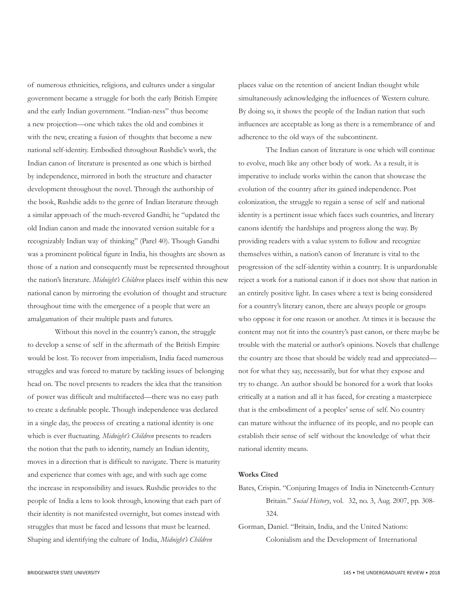of numerous ethnicities, religions, and cultures under a singular government became a struggle for both the early British Empire and the early Indian government. "Indian-ness" thus become a new projection—one which takes the old and combines it with the new, creating a fusion of thoughts that become a new national self-identity. Embodied throughout Rushdie's work, the Indian canon of literature is presented as one which is birthed by independence, mirrored in both the structure and character development throughout the novel. Through the authorship of the book, Rushdie adds to the genre of Indian literature through a similar approach of the much-revered Gandhi; he "updated the old Indian canon and made the innovated version suitable for a recognizably Indian way of thinking" (Parel 40). Though Gandhi was a prominent political figure in India, his thoughts are shown as those of a nation and consequently must be represented throughout the nation's literature. *Midnight's Children* places itself within this new national canon by mirroring the evolution of thought and structure throughout time with the emergence of a people that were an amalgamation of their multiple pasts and futures.

Without this novel in the country's canon, the struggle to develop a sense of self in the aftermath of the British Empire would be lost. To recover from imperialism, India faced numerous struggles and was forced to mature by tackling issues of belonging head on. The novel presents to readers the idea that the transition of power was difficult and multifaceted—there was no easy path to create a definable people. Though independence was declared in a single day, the process of creating a national identity is one which is ever fluctuating. *Midnight's Children* presents to readers the notion that the path to identity, namely an Indian identity, moves in a direction that is difficult to navigate. There is maturity and experience that comes with age, and with such age come the increase in responsibility and issues. Rushdie provides to the people of India a lens to look through, knowing that each part of their identity is not manifested overnight, but comes instead with struggles that must be faced and lessons that must be learned. Shaping and identifying the culture of India, *Midnight's Children*

places value on the retention of ancient Indian thought while simultaneously acknowledging the influences of Western culture. By doing so, it shows the people of the Indian nation that such influences are acceptable as long as there is a remembrance of and adherence to the old ways of the subcontinent.

The Indian canon of literature is one which will continue to evolve, much like any other body of work. As a result, it is imperative to include works within the canon that showcase the evolution of the country after its gained independence. Post colonization, the struggle to regain a sense of self and national identity is a pertinent issue which faces such countries, and literary canons identify the hardships and progress along the way. By providing readers with a value system to follow and recognize themselves within, a nation's canon of literature is vital to the progression of the self-identity within a country. It is unpardonable reject a work for a national canon if it does not show that nation in an entirely positive light. In cases where a text is being considered for a country's literary canon, there are always people or groups who oppose it for one reason or another. At times it is because the content may not fit into the country's past canon, or there maybe be trouble with the material or author's opinions. Novels that challenge the country are those that should be widely read and appreciated not for what they say, necessarily, but for what they expose and try to change. An author should be honored for a work that looks critically at a nation and all it has faced, for creating a masterpiece that is the embodiment of a peoples' sense of self. No country can mature without the influence of its people, and no people can establish their sense of self without the knowledge of what their national identity means.

#### **Works Cited**

- Bates, Crispin. "Conjuring Images of India in Nineteenth-Century Britain." *Social History*, vol. 32, no. 3, Aug. 2007, pp. 308- 324.
- Gorman, Daniel. "Britain, India, and the United Nations: Colonialism and the Development of International